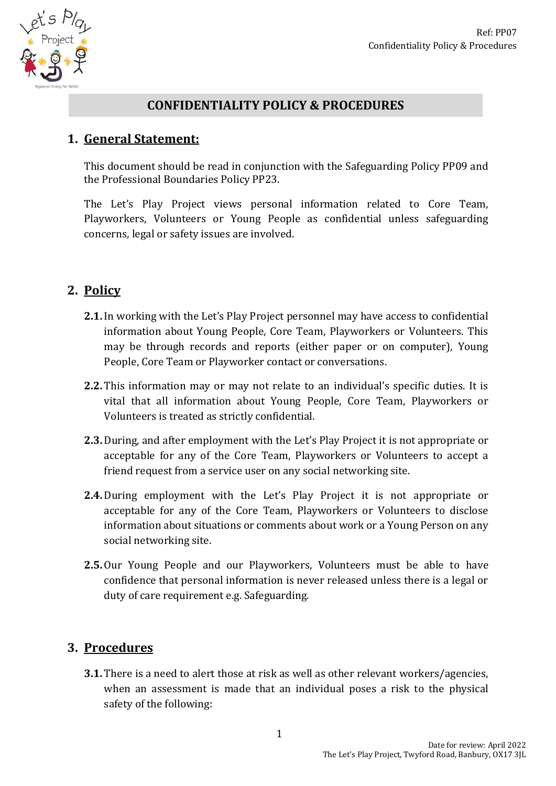

## **CONFIDENTIALITY POLICY & PROCEDURES**

## **1. General Statement:**

This document should be read in conjunction with the Safeguarding Policy PP09 and the Professional Boundaries Policy PP23.

The Let's Play Project views personal information related to Core Team, Playworkers, Volunteers or Young People as confidential unless safeguarding concerns, legal or safety issues are involved.

# **2. Policy**

- **2.1.**In working with the Let's Play Project personnel may have access to confidential information about Young People, Core Team, Playworkers or Volunteers. This may be through records and reports (either paper or on computer), Young People, Core Team or Playworker contact or conversations.
- **2.2.** This information may or may not relate to an individual's specific duties. It is vital that all information about Young People, Core Team, Playworkers or Volunteers is treated as strictly confidential.
- **2.3.**During, and after employment with the Let's Play Project it is not appropriate or acceptable for any of the Core Team, Playworkers or Volunteers to accept a friend request from a service user on any social networking site.
- **2.4.**During employment with the Let's Play Project it is not appropriate or acceptable for any of the Core Team, Playworkers or Volunteers to disclose information about situations or comments about work or a Young Person on any social networking site.
- **2.5.**Our Young People and our Playworkers, Volunteers must be able to have confidence that personal information is never released unless there is a legal or duty of care requirement e.g. Safeguarding.

# **3. Procedures**

**3.1.** There is a need to alert those at risk as well as other relevant workers/agencies, when an assessment is made that an individual poses a risk to the physical safety of the following: